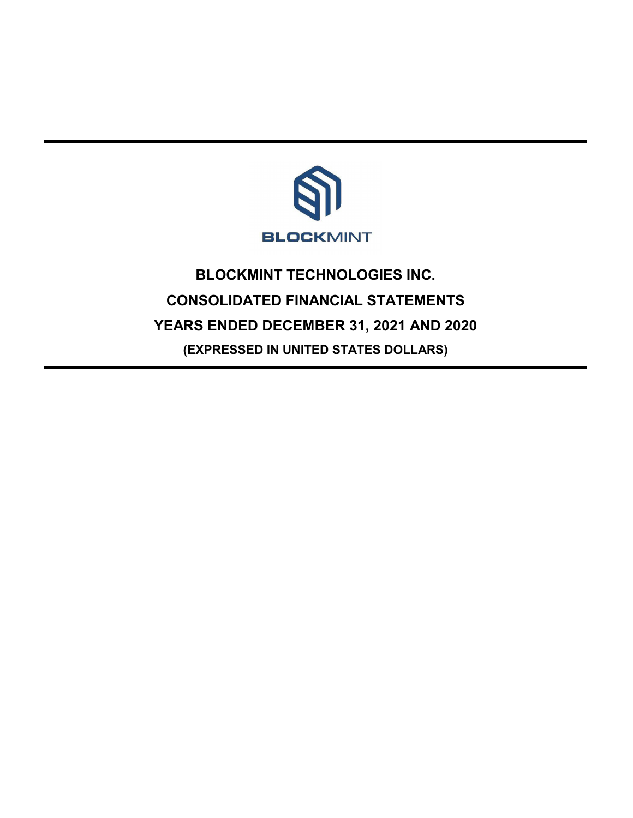

# **BLOCKMINT TECHNOLOGIES INC. CONSOLIDATED FINANCIAL STATEMENTS YEARS ENDED DECEMBER 31, 2021 AND 2020 (EXPRESSED IN UNITED STATES DOLLARS)**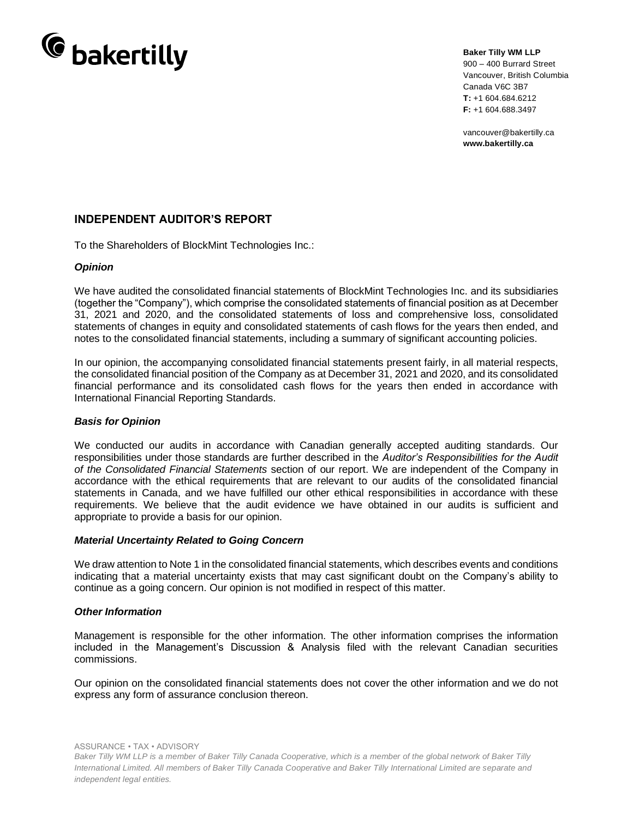

**Baker Tilly WM LLP**

900 – 400 Burrard Street Vancouver, British Columbia Canada V6C 3B7 **T:** +1 604.684.6212 **F:** +1 604.688.3497

vancouver@bakertilly.ca **www.bakertilly.ca**

# **INDEPENDENT AUDITOR'S REPORT**

To the Shareholders of BlockMint Technologies Inc.:

#### *Opinion*

We have audited the consolidated financial statements of BlockMint Technologies Inc. and its subsidiaries (together the "Company"), which comprise the consolidated statements of financial position as at December 31, 2021 and 2020, and the consolidated statements of loss and comprehensive loss, consolidated statements of changes in equity and consolidated statements of cash flows for the years then ended, and notes to the consolidated financial statements, including a summary of significant accounting policies.

In our opinion, the accompanying consolidated financial statements present fairly, in all material respects, the consolidated financial position of the Company as at December 31, 2021 and 2020, and its consolidated financial performance and its consolidated cash flows for the years then ended in accordance with International Financial Reporting Standards.

#### *Basis for Opinion*

We conducted our audits in accordance with Canadian generally accepted auditing standards. Our responsibilities under those standards are further described in the *Auditor's Responsibilities for the Audit of the Consolidated Financial Statements* section of our report. We are independent of the Company in accordance with the ethical requirements that are relevant to our audits of the consolidated financial statements in Canada, and we have fulfilled our other ethical responsibilities in accordance with these requirements. We believe that the audit evidence we have obtained in our audits is sufficient and appropriate to provide a basis for our opinion.

#### *Material Uncertainty Related to Going Concern*

We draw attention to Note 1 in the consolidated financial statements, which describes events and conditions indicating that a material uncertainty exists that may cast significant doubt on the Company's ability to continue as a going concern. Our opinion is not modified in respect of this matter.

#### *Other Information*

Management is responsible for the other information. The other information comprises the information included in the Management's Discussion & Analysis filed with the relevant Canadian securities commissions.

Our opinion on the consolidated financial statements does not cover the other information and we do not express any form of assurance conclusion thereon.

ASSURANCE • TAX • ADVISORY

*Baker Tilly WM LLP is a member of Baker Tilly Canada Cooperative, which is a member of the global network of Baker Tilly International Limited. All members of Baker Tilly Canada Cooperative and Baker Tilly International Limited are separate and independent legal entities.*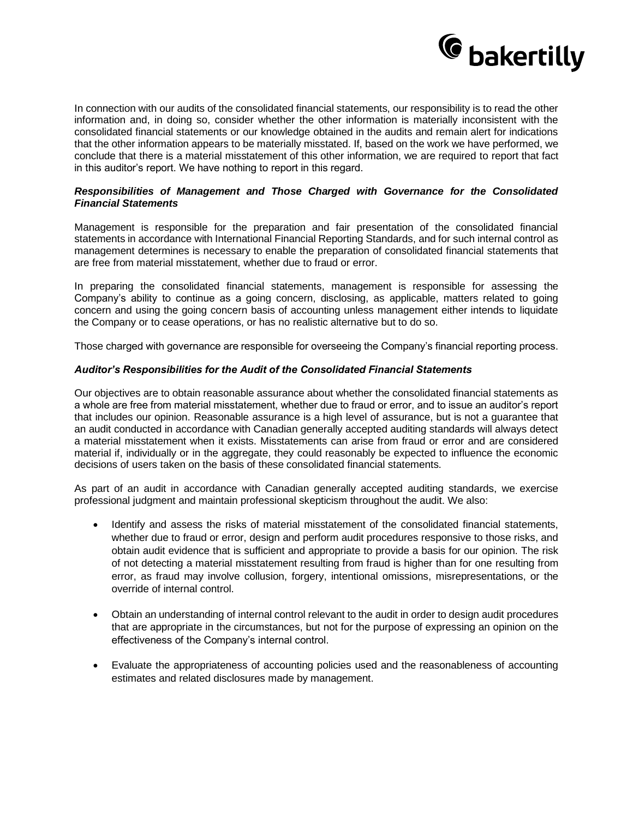

In connection with our audits of the consolidated financial statements, our responsibility is to read the other information and, in doing so, consider whether the other information is materially inconsistent with the consolidated financial statements or our knowledge obtained in the audits and remain alert for indications that the other information appears to be materially misstated. If, based on the work we have performed, we conclude that there is a material misstatement of this other information, we are required to report that fact in this auditor's report. We have nothing to report in this regard.

#### *Responsibilities of Management and Those Charged with Governance for the Consolidated Financial Statements*

Management is responsible for the preparation and fair presentation of the consolidated financial statements in accordance with International Financial Reporting Standards, and for such internal control as management determines is necessary to enable the preparation of consolidated financial statements that are free from material misstatement, whether due to fraud or error.

In preparing the consolidated financial statements, management is responsible for assessing the Company's ability to continue as a going concern, disclosing, as applicable, matters related to going concern and using the going concern basis of accounting unless management either intends to liquidate the Company or to cease operations, or has no realistic alternative but to do so.

Those charged with governance are responsible for overseeing the Company's financial reporting process.

#### *Auditor's Responsibilities for the Audit of the Consolidated Financial Statements*

Our objectives are to obtain reasonable assurance about whether the consolidated financial statements as a whole are free from material misstatement, whether due to fraud or error, and to issue an auditor's report that includes our opinion. Reasonable assurance is a high level of assurance, but is not a guarantee that an audit conducted in accordance with Canadian generally accepted auditing standards will always detect a material misstatement when it exists. Misstatements can arise from fraud or error and are considered material if, individually or in the aggregate, they could reasonably be expected to influence the economic decisions of users taken on the basis of these consolidated financial statements.

As part of an audit in accordance with Canadian generally accepted auditing standards, we exercise professional judgment and maintain professional skepticism throughout the audit. We also:

- Identify and assess the risks of material misstatement of the consolidated financial statements, whether due to fraud or error, design and perform audit procedures responsive to those risks, and obtain audit evidence that is sufficient and appropriate to provide a basis for our opinion. The risk of not detecting a material misstatement resulting from fraud is higher than for one resulting from error, as fraud may involve collusion, forgery, intentional omissions, misrepresentations, or the override of internal control.
- Obtain an understanding of internal control relevant to the audit in order to design audit procedures that are appropriate in the circumstances, but not for the purpose of expressing an opinion on the effectiveness of the Company's internal control.
- Evaluate the appropriateness of accounting policies used and the reasonableness of accounting estimates and related disclosures made by management.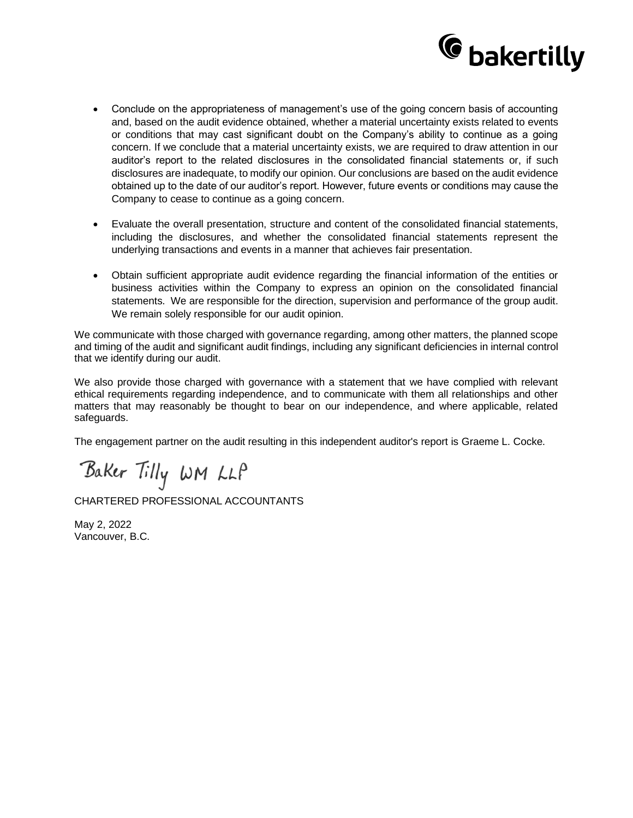

- Conclude on the appropriateness of management's use of the going concern basis of accounting and, based on the audit evidence obtained, whether a material uncertainty exists related to events or conditions that may cast significant doubt on the Company's ability to continue as a going concern. If we conclude that a material uncertainty exists, we are required to draw attention in our auditor's report to the related disclosures in the consolidated financial statements or, if such disclosures are inadequate, to modify our opinion. Our conclusions are based on the audit evidence obtained up to the date of our auditor's report. However, future events or conditions may cause the Company to cease to continue as a going concern.
- Evaluate the overall presentation, structure and content of the consolidated financial statements, including the disclosures, and whether the consolidated financial statements represent the underlying transactions and events in a manner that achieves fair presentation.
- Obtain sufficient appropriate audit evidence regarding the financial information of the entities or business activities within the Company to express an opinion on the consolidated financial statements. We are responsible for the direction, supervision and performance of the group audit. We remain solely responsible for our audit opinion.

We communicate with those charged with governance regarding, among other matters, the planned scope and timing of the audit and significant audit findings, including any significant deficiencies in internal control that we identify during our audit.

We also provide those charged with governance with a statement that we have complied with relevant ethical requirements regarding independence, and to communicate with them all relationships and other matters that may reasonably be thought to bear on our independence, and where applicable, related safeguards.

The engagement partner on the audit resulting in this independent auditor's report is Graeme L. Cocke.

Baker Tilly WM LLP

CHARTERED PROFESSIONAL ACCOUNTANTS

May 2, 2022 Vancouver, B.C.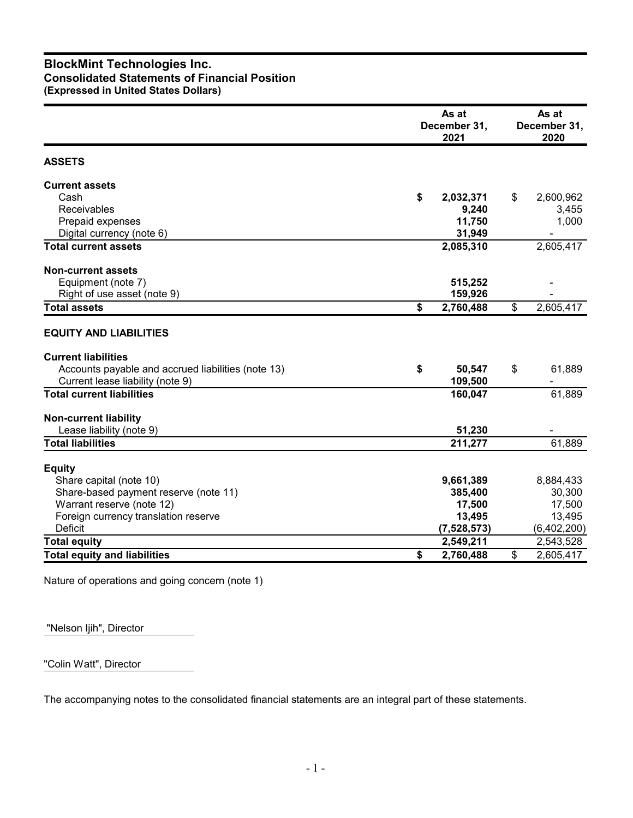# **BlockMint Technologies Inc. Consolidated Statements of Financial Position (Expressed in United States Dollars)**

|                                                             |    | As at<br>December 31,<br>2021 |               | As at<br>December 31,<br>2020 |
|-------------------------------------------------------------|----|-------------------------------|---------------|-------------------------------|
| <b>ASSETS</b>                                               |    |                               |               |                               |
| <b>Current assets</b>                                       |    |                               |               |                               |
| Cash                                                        | \$ | 2,032,371                     | \$            | 2,600,962                     |
| Receivables                                                 |    | 9,240                         |               | 3,455                         |
| Prepaid expenses                                            |    | 11,750                        |               | 1,000                         |
| Digital currency (note 6)                                   |    | 31,949                        |               |                               |
| <b>Total current assets</b>                                 |    | 2,085,310                     |               | 2,605,417                     |
| <b>Non-current assets</b>                                   |    |                               |               |                               |
| Equipment (note 7)                                          |    | 515,252                       |               |                               |
| Right of use asset (note 9)                                 |    | 159,926                       |               |                               |
| <b>Total assets</b>                                         | \$ | 2,760,488                     | $\mathsf{\$}$ | 2,605,417                     |
| <b>EQUITY AND LIABILITIES</b><br><b>Current liabilities</b> |    |                               |               |                               |
| Accounts payable and accrued liabilities (note 13)          | \$ | 50,547                        | \$            | 61,889                        |
| Current lease liability (note 9)                            |    | 109,500                       |               |                               |
| <b>Total current liabilities</b>                            |    | 160,047                       |               | 61,889                        |
| <b>Non-current liability</b>                                |    |                               |               |                               |
| Lease liability (note 9)                                    |    | 51,230                        |               |                               |
| <b>Total liabilities</b>                                    |    | 211,277                       |               | 61,889                        |
| <b>Equity</b>                                               |    |                               |               |                               |
| Share capital (note 10)                                     |    | 9,661,389                     |               | 8,884,433                     |
| Share-based payment reserve (note 11)                       |    | 385,400                       |               | 30,300                        |
| Warrant reserve (note 12)                                   |    | 17,500                        |               | 17,500                        |
| Foreign currency translation reserve                        |    | 13,495                        |               | 13,495                        |
| <b>Deficit</b>                                              |    | (7,528,573)                   |               | (6,402,200)                   |
| <b>Total equity</b>                                         |    | 2,549,211                     |               | 2,543,528                     |
| <b>Total equity and liabilities</b>                         | \$ | 2,760,488                     | \$            | 2,605,417                     |
|                                                             |    |                               |               |                               |

Nature of operations and going concern (note 1)

"Nelson Ijih", Director

"Colin Watt", Director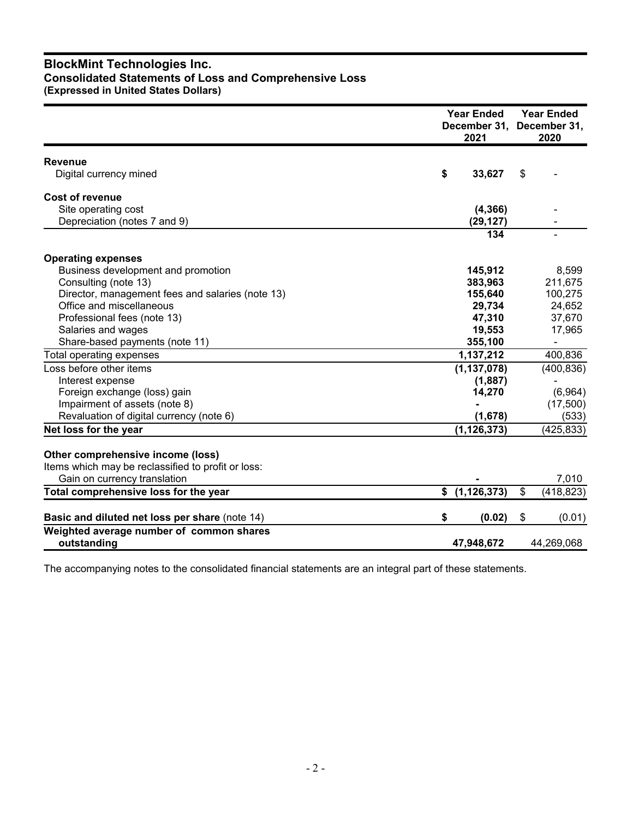# **BlockMint Technologies Inc. Consolidated Statements of Loss and Comprehensive Loss (Expressed in United States Dollars)**

|                                                                                         | <b>Year Ended</b><br>December 31, December 31,<br>2021 | <b>Year Ended</b><br>2020 |
|-----------------------------------------------------------------------------------------|--------------------------------------------------------|---------------------------|
| <b>Revenue</b>                                                                          |                                                        |                           |
| Digital currency mined                                                                  | \$<br>33,627                                           | \$                        |
| <b>Cost of revenue</b>                                                                  |                                                        |                           |
| Site operating cost                                                                     | (4, 366)                                               |                           |
| Depreciation (notes 7 and 9)                                                            | (29, 127)                                              |                           |
|                                                                                         | 134                                                    |                           |
| <b>Operating expenses</b>                                                               |                                                        |                           |
| Business development and promotion                                                      | 145,912                                                | 8,599                     |
| Consulting (note 13)                                                                    | 383,963                                                | 211,675                   |
| Director, management fees and salaries (note 13)                                        | 155,640                                                | 100,275                   |
| Office and miscellaneous                                                                | 29,734                                                 | 24,652                    |
| Professional fees (note 13)                                                             | 47,310                                                 | 37,670                    |
| Salaries and wages                                                                      | 19,553                                                 | 17,965                    |
| Share-based payments (note 11)                                                          | 355,100                                                | $\blacksquare$            |
| Total operating expenses                                                                | 1,137,212                                              | 400,836                   |
| Loss before other items                                                                 | (1, 137, 078)                                          | (400, 836)                |
| Interest expense                                                                        | (1,887)                                                |                           |
| Foreign exchange (loss) gain                                                            | 14,270                                                 | (6,964)                   |
| Impairment of assets (note 8)                                                           |                                                        | (17,500)                  |
| Revaluation of digital currency (note 6)                                                | (1,678)                                                | (533)                     |
| Net loss for the year                                                                   | (1, 126, 373)                                          | (425, 833)                |
| Other comprehensive income (loss)<br>Items which may be reclassified to profit or loss: |                                                        |                           |
| Gain on currency translation                                                            |                                                        | 7,010                     |
| Total comprehensive loss for the year                                                   | (1, 126, 373)<br>\$                                    | \$<br>(418, 823)          |
| Basic and diluted net loss per share (note 14)                                          | \$<br>(0.02)                                           | \$<br>(0.01)              |
| Weighted average number of common shares                                                |                                                        |                           |
| outstanding                                                                             | 47,948,672                                             | 44,269,068                |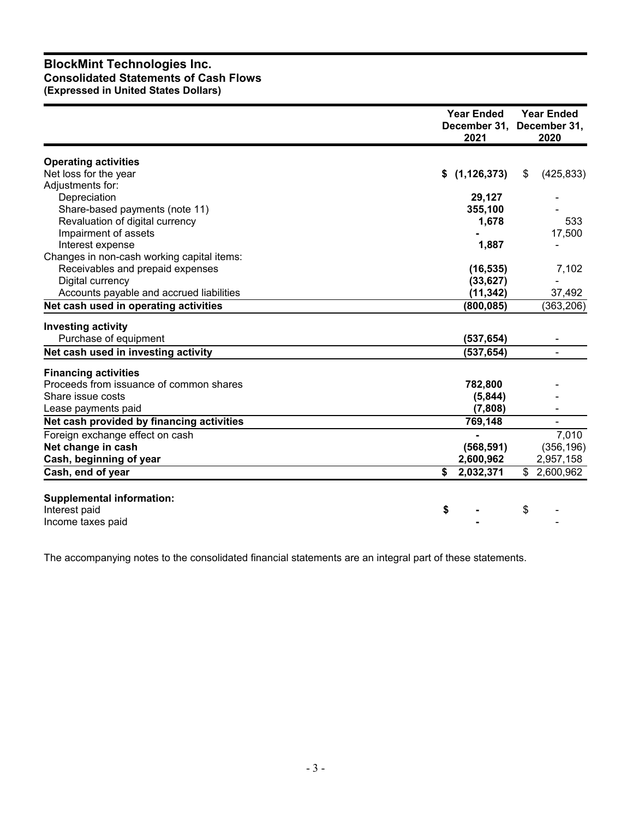# **BlockMint Technologies Inc. Consolidated Statements of Cash Flows (Expressed in United States Dollars)**

|                                                   | <b>Year Ended</b><br>December 31, December 31,<br>2021 | <b>Year Ended</b><br>2020 |
|---------------------------------------------------|--------------------------------------------------------|---------------------------|
| <b>Operating activities</b>                       |                                                        |                           |
| Net loss for the year                             | \$(1, 126, 373)                                        | \$<br>(425, 833)          |
| Adjustments for:                                  |                                                        |                           |
| Depreciation                                      | 29,127                                                 |                           |
| Share-based payments (note 11)                    | 355,100                                                |                           |
| Revaluation of digital currency                   | 1,678                                                  | 533                       |
| Impairment of assets                              |                                                        | 17,500                    |
| Interest expense                                  | 1,887                                                  |                           |
| Changes in non-cash working capital items:        |                                                        |                           |
| Receivables and prepaid expenses                  | (16, 535)                                              | 7,102                     |
| Digital currency                                  | (33, 627)                                              |                           |
| Accounts payable and accrued liabilities          | (11, 342)                                              | 37,492                    |
| Net cash used in operating activities             | (800, 085)                                             | (363, 206)                |
| <b>Investing activity</b>                         |                                                        |                           |
| Purchase of equipment                             | (537, 654)                                             |                           |
| Net cash used in investing activity               | (537, 654)                                             | $\blacksquare$            |
| <b>Financing activities</b>                       |                                                        |                           |
| Proceeds from issuance of common shares           | 782,800                                                |                           |
| Share issue costs                                 | (5, 844)                                               |                           |
| Lease payments paid                               | (7,808)                                                |                           |
| Net cash provided by financing activities         | 769,148                                                |                           |
| Foreign exchange effect on cash                   | $\blacksquare$                                         | 7,010                     |
| Net change in cash                                | (568, 591)                                             | (356, 196)                |
| Cash, beginning of year                           | 2,600,962                                              | 2,957,158                 |
| Cash, end of year                                 | \$<br>2,032,371                                        | \$2,600,962               |
|                                                   |                                                        |                           |
| <b>Supplemental information:</b><br>Interest paid | \$                                                     |                           |
|                                                   |                                                        | \$                        |
| Income taxes paid                                 |                                                        |                           |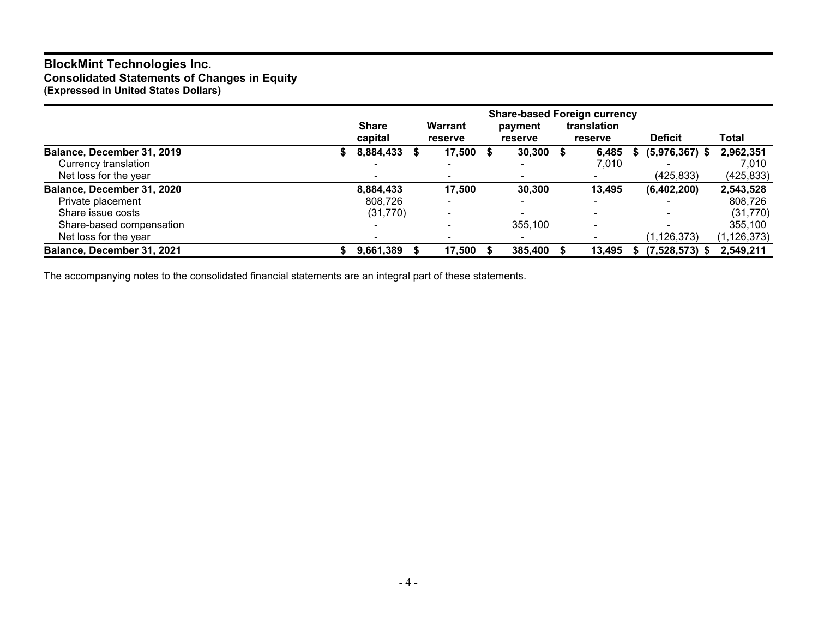# **BlockMint Technologies Inc. Consolidated Statements of Changes in Equity (Expressed in United States Dollars)**

|                            |              | <b>Share-based Foreign currency</b> |         |                          |                        |               |  |  |  |  |
|----------------------------|--------------|-------------------------------------|---------|--------------------------|------------------------|---------------|--|--|--|--|
|                            | <b>Share</b> | Warrant                             | payment | translation              |                        |               |  |  |  |  |
|                            | capital      | <b>reserve</b>                      | reserve | reserve                  | <b>Deficit</b>         | Total         |  |  |  |  |
| Balance, December 31, 2019 | 8,884,433    | $17,500$ \$                         | 30,300  | 6.485<br>S.              | $(5,976,367)$ \$<br>S. | 2,962,351     |  |  |  |  |
| Currency translation       |              |                                     |         | 7.010                    |                        | 7.010         |  |  |  |  |
| Net loss for the year      |              |                                     |         |                          | (425, 833)             | (425, 833)    |  |  |  |  |
| Balance, December 31, 2020 | 8,884,433    | 17,500                              | 30,300  | 13,495                   | (6,402,200)            | 2,543,528     |  |  |  |  |
| Private placement          | 808,726      |                                     |         | $\overline{\phantom{0}}$ |                        | 808,726       |  |  |  |  |
| Share issue costs          | (31, 770)    | $\overline{\phantom{0}}$            |         |                          |                        | (31, 770)     |  |  |  |  |
| Share-based compensation   |              |                                     | 355,100 | $\overline{\phantom{a}}$ |                        | 355,100       |  |  |  |  |
| Net loss for the year      |              |                                     |         |                          | (1, 126, 373)          | (1, 126, 373) |  |  |  |  |
| Balance, December 31, 2021 | 9,661,389    | 17,500                              | 385,400 | 13,495                   | $(7,528,573)$ \$<br>S. | 2,549,211     |  |  |  |  |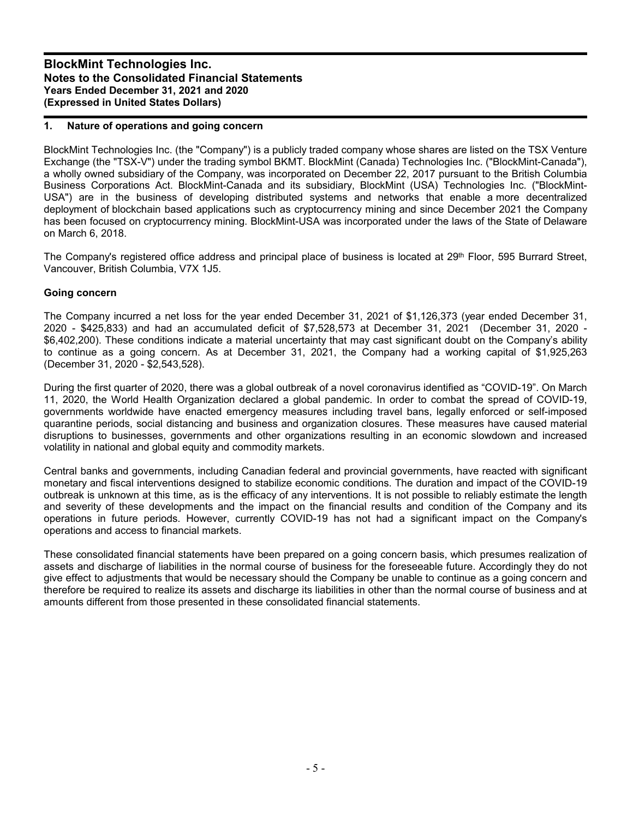## **1. Nature of operations and going concern**

BlockMint Technologies Inc. (the "Company") is a publicly traded company whose shares are listed on the TSX Venture Exchange (the "TSX-V") under the trading symbol BKMT. BlockMint (Canada) Technologies Inc. ("BlockMint-Canada"), a wholly owned subsidiary of the Company, was incorporated on December 22, 2017 pursuant to the British Columbia Business Corporations Act. BlockMint-Canada and its subsidiary, BlockMint (USA) Technologies Inc. ("BlockMint-USA") are in the business of developing distributed systems and networks that enable a more decentralized deployment of blockchain based applications such as cryptocurrency mining and since December 2021 the Company has been focused on cryptocurrency mining. BlockMint-USA was incorporated under the laws of the State of Delaware on March 6, 2018.

The Company's registered office address and principal place of business is located at 29<sup>th</sup> Floor, 595 Burrard Street, Vancouver, British Columbia, V7X 1J5.

## **Going concern**

The Company incurred a net loss for the year ended December 31, 2021 of \$1,126,373 (year ended December 31, 2020 - \$425,833) and had an accumulated deficit of \$7,528,573 at December 31, 2021 (December 31, 2020 - \$6,402,200). These conditions indicate a material uncertainty that may cast significant doubt on the Company's ability to continue as a going concern. As at December 31, 2021, the Company had a working capital of \$1,925,263 (December 31, 2020 - \$2,543,528).

During the first quarter of 2020, there was a global outbreak of a novel coronavirus identified as "COVID-19". On March 11, 2020, the World Health Organization declared a global pandemic. In order to combat the spread of COVID-19, governments worldwide have enacted emergency measures including travel bans, legally enforced or self-imposed quarantine periods, social distancing and business and organization closures. These measures have caused material disruptions to businesses, governments and other organizations resulting in an economic slowdown and increased volatility in national and global equity and commodity markets.

Central banks and governments, including Canadian federal and provincial governments, have reacted with significant monetary and fiscal interventions designed to stabilize economic conditions. The duration and impact of the COVID-19 outbreak is unknown at this time, as is the efficacy of any interventions. It is not possible to reliably estimate the length and severity of these developments and the impact on the financial results and condition of the Company and its operations in future periods. However, currently COVID-19 has not had a significant impact on the Company's operations and access to financial markets.

These consolidated financial statements have been prepared on a going concern basis, which presumes realization of assets and discharge of liabilities in the normal course of business for the foreseeable future. Accordingly they do not give effect to adjustments that would be necessary should the Company be unable to continue as a going concern and therefore be required to realize its assets and discharge its liabilities in other than the normal course of business and at amounts different from those presented in these consolidated financial statements.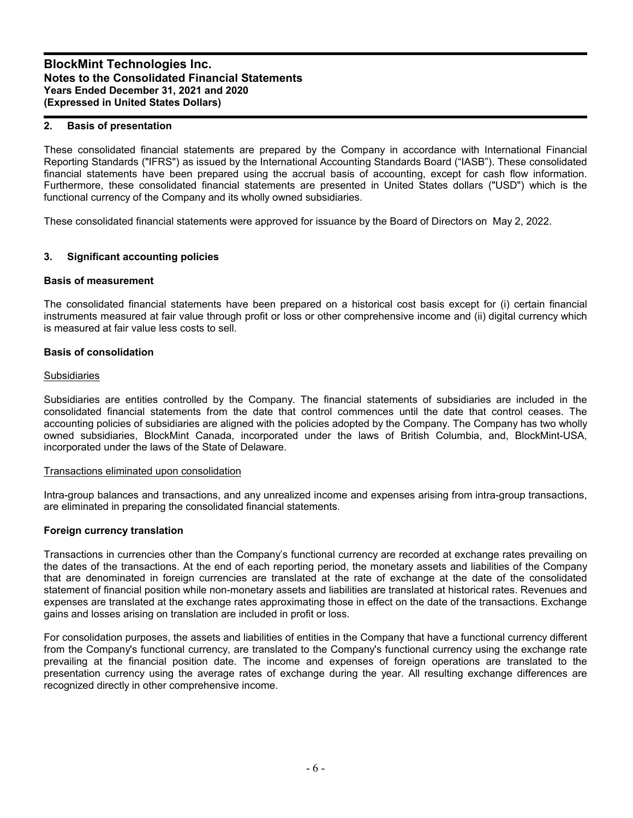## **2. Basis of presentation**

These consolidated financial statements are prepared by the Company in accordance with International Financial Reporting Standards ("IFRS") as issued by the International Accounting Standards Board ("IASB"). These consolidated financial statements have been prepared using the accrual basis of accounting, except for cash flow information. Furthermore, these consolidated financial statements are presented in United States dollars ("USD") which is the functional currency of the Company and its wholly owned subsidiaries.

These consolidated financial statements were approved for issuance by the Board of Directors on May 2, 2022.

## **3. Significant accounting policies**

#### **Basis of measurement**

The consolidated financial statements have been prepared on a historical cost basis except for (i) certain financial instruments measured at fair value through profit or loss or other comprehensive income and (ii) digital currency which is measured at fair value less costs to sell.

#### **Basis of consolidation**

#### **Subsidiaries**

Subsidiaries are entities controlled by the Company. The financial statements of subsidiaries are included in the consolidated financial statements from the date that control commences until the date that control ceases. The accounting policies of subsidiaries are aligned with the policies adopted by the Company. The Company has two wholly owned subsidiaries, BlockMint Canada, incorporated under the laws of British Columbia, and, BlockMint-USA, incorporated under the laws of the State of Delaware.

#### Transactions eliminated upon consolidation

Intra-group balances and transactions, and any unrealized income and expenses arising from intra-group transactions, are eliminated in preparing the consolidated financial statements.

#### **Foreign currency translation**

Transactions in currencies other than the Company's functional currency are recorded at exchange rates prevailing on the dates of the transactions. At the end of each reporting period, the monetary assets and liabilities of the Company that are denominated in foreign currencies are translated at the rate of exchange at the date of the consolidated statement of financial position while non-monetary assets and liabilities are translated at historical rates. Revenues and expenses are translated at the exchange rates approximating those in effect on the date of the transactions. Exchange gains and losses arising on translation are included in profit or loss.

For consolidation purposes, the assets and liabilities of entities in the Company that have a functional currency different from the Company's functional currency, are translated to the Company's functional currency using the exchange rate prevailing at the financial position date. The income and expenses of foreign operations are translated to the presentation currency using the average rates of exchange during the year. All resulting exchange differences are recognized directly in other comprehensive income.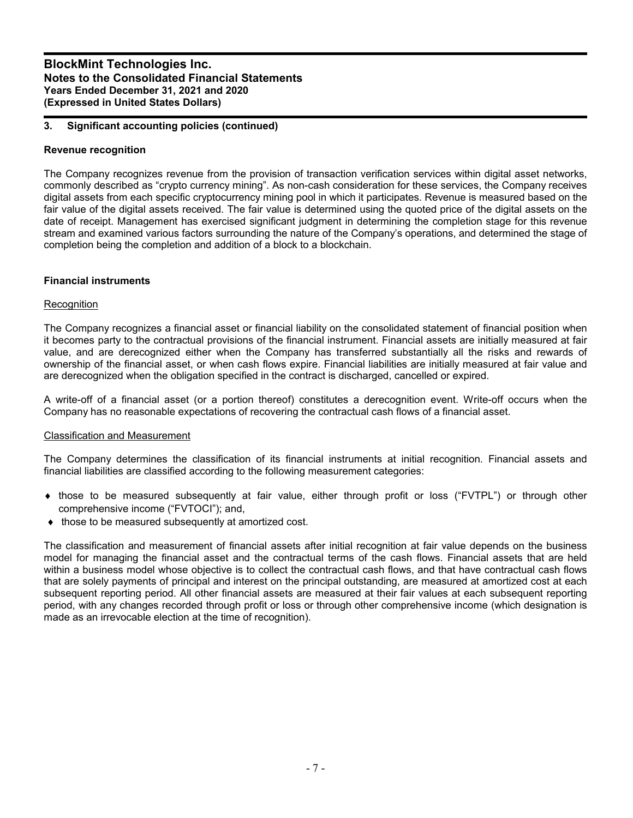## **3. Significant accounting policies (continued)**

#### **Revenue recognition**

The Company recognizes revenue from the provision of transaction verification services within digital asset networks, commonly described as "crypto currency mining". As non-cash consideration for these services, the Company receives digital assets from each specific cryptocurrency mining pool in which it participates. Revenue is measured based on the fair value of the digital assets received. The fair value is determined using the quoted price of the digital assets on the date of receipt. Management has exercised significant judgment in determining the completion stage for this revenue stream and examined various factors surrounding the nature of the Company's operations, and determined the stage of completion being the completion and addition of a block to a blockchain.

## **Financial instruments**

#### **Recognition**

The Company recognizes a financial asset or financial liability on the consolidated statement of financial position when it becomes party to the contractual provisions of the financial instrument. Financial assets are initially measured at fair value, and are derecognized either when the Company has transferred substantially all the risks and rewards of ownership of the financial asset, or when cash flows expire. Financial liabilities are initially measured at fair value and are derecognized when the obligation specified in the contract is discharged, cancelled or expired.

A write-off of a financial asset (or a portion thereof) constitutes a derecognition event. Write-off occurs when the Company has no reasonable expectations of recovering the contractual cash flows of a financial asset.

#### Classification and Measurement

The Company determines the classification of its financial instruments at initial recognition. Financial assets and financial liabilities are classified according to the following measurement categories:

- those to be measured subsequently at fair value, either through profit or loss ("FVTPL") or through other comprehensive income ("FVTOCI"); and,
- $\bullet$  those to be measured subsequently at amortized cost.

The classification and measurement of financial assets after initial recognition at fair value depends on the business model for managing the financial asset and the contractual terms of the cash flows. Financial assets that are held within a business model whose objective is to collect the contractual cash flows, and that have contractual cash flows that are solely payments of principal and interest on the principal outstanding, are measured at amortized cost at each subsequent reporting period. All other financial assets are measured at their fair values at each subsequent reporting period, with any changes recorded through profit or loss or through other comprehensive income (which designation is made as an irrevocable election at the time of recognition).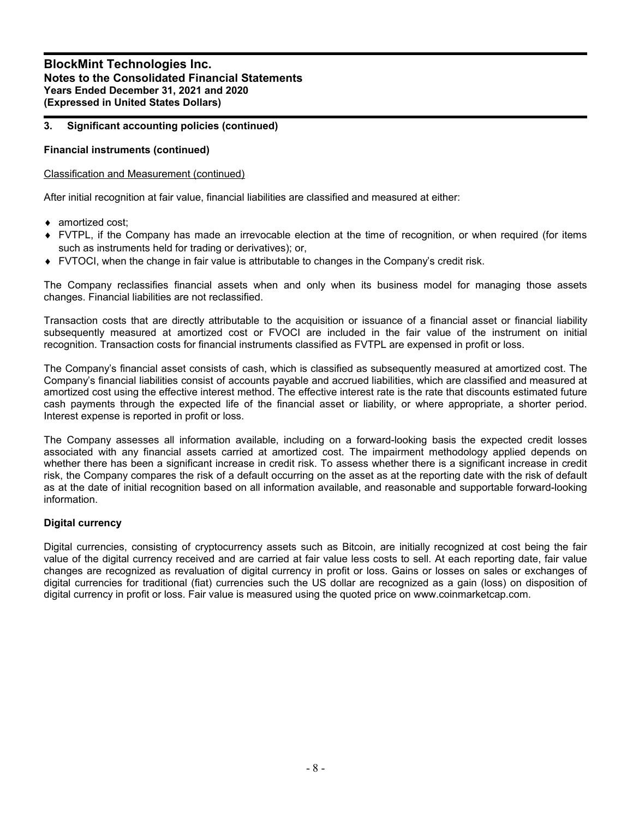# **3. Significant accounting policies (continued)**

## **Financial instruments (continued)**

#### Classification and Measurement (continued)

After initial recognition at fair value, financial liabilities are classified and measured at either:

- ◆ amortized cost;
- FVTPL, if the Company has made an irrevocable election at the time of recognition, or when required (for items such as instruments held for trading or derivatives); or,
- FVTOCI, when the change in fair value is attributable to changes in the Company's credit risk.

The Company reclassifies financial assets when and only when its business model for managing those assets changes. Financial liabilities are not reclassified.

Transaction costs that are directly attributable to the acquisition or issuance of a financial asset or financial liability subsequently measured at amortized cost or FVOCI are included in the fair value of the instrument on initial recognition. Transaction costs for financial instruments classified as FVTPL are expensed in profit or loss.

The Company's financial asset consists of cash, which is classified as subsequently measured at amortized cost. The Company's financial liabilities consist of accounts payable and accrued liabilities, which are classified and measured at amortized cost using the effective interest method. The effective interest rate is the rate that discounts estimated future cash payments through the expected life of the financial asset or liability, or where appropriate, a shorter period. Interest expense is reported in profit or loss.

The Company assesses all information available, including on a forward-looking basis the expected credit losses associated with any financial assets carried at amortized cost. The impairment methodology applied depends on whether there has been a significant increase in credit risk. To assess whether there is a significant increase in credit risk, the Company compares the risk of a default occurring on the asset as at the reporting date with the risk of default as at the date of initial recognition based on all information available, and reasonable and supportable forward-looking information.

## **Digital currency**

Digital currencies, consisting of cryptocurrency assets such as Bitcoin, are initially recognized at cost being the fair value of the digital currency received and are carried at fair value less costs to sell. At each reporting date, fair value changes are recognized as revaluation of digital currency in profit or loss. Gains or losses on sales or exchanges of digital currencies for traditional (fiat) currencies such the US dollar are recognized as a gain (loss) on disposition of digital currency in profit or loss. Fair value is measured using the quoted price on www.coinmarketcap.com.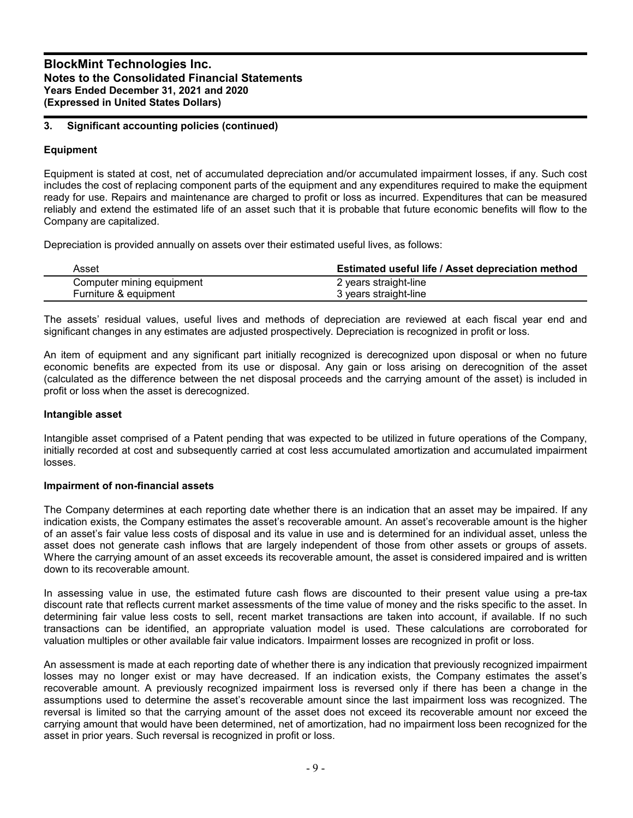## **3. Significant accounting policies (continued)**

## **Equipment**

Equipment is stated at cost, net of accumulated depreciation and/or accumulated impairment losses, if any. Such cost includes the cost of replacing component parts of the equipment and any expenditures required to make the equipment ready for use. Repairs and maintenance are charged to profit or loss as incurred. Expenditures that can be measured reliably and extend the estimated life of an asset such that it is probable that future economic benefits will flow to the Company are capitalized.

Depreciation is provided annually on assets over their estimated useful lives, as follows:

| Asset                     | Estimated useful life / Asset depreciation method |
|---------------------------|---------------------------------------------------|
| Computer mining equipment | 2 years straight-line                             |
| Furniture & equipment     | 3 years straight-line                             |

The assets' residual values, useful lives and methods of depreciation are reviewed at each fiscal year end and significant changes in any estimates are adjusted prospectively. Depreciation is recognized in profit or loss.

An item of equipment and any significant part initially recognized is derecognized upon disposal or when no future economic benefits are expected from its use or disposal. Any gain or loss arising on derecognition of the asset (calculated as the difference between the net disposal proceeds and the carrying amount of the asset) is included in profit or loss when the asset is derecognized.

#### **Intangible asset**

Intangible asset comprised of a Patent pending that was expected to be utilized in future operations of the Company, initially recorded at cost and subsequently carried at cost less accumulated amortization and accumulated impairment losses.

#### **Impairment of non-financial assets**

The Company determines at each reporting date whether there is an indication that an asset may be impaired. If any indication exists, the Company estimates the asset's recoverable amount. An asset's recoverable amount is the higher of an asset's fair value less costs of disposal and its value in use and is determined for an individual asset, unless the asset does not generate cash inflows that are largely independent of those from other assets or groups of assets. Where the carrying amount of an asset exceeds its recoverable amount, the asset is considered impaired and is written down to its recoverable amount.

In assessing value in use, the estimated future cash flows are discounted to their present value using a pre-tax discount rate that reflects current market assessments of the time value of money and the risks specific to the asset. In determining fair value less costs to sell, recent market transactions are taken into account, if available. If no such transactions can be identified, an appropriate valuation model is used. These calculations are corroborated for valuation multiples or other available fair value indicators. Impairment losses are recognized in profit or loss.

An assessment is made at each reporting date of whether there is any indication that previously recognized impairment losses may no longer exist or may have decreased. If an indication exists, the Company estimates the asset's recoverable amount. A previously recognized impairment loss is reversed only if there has been a change in the assumptions used to determine the asset's recoverable amount since the last impairment loss was recognized. The reversal is limited so that the carrying amount of the asset does not exceed its recoverable amount nor exceed the carrying amount that would have been determined, net of amortization, had no impairment loss been recognized for the asset in prior years. Such reversal is recognized in profit or loss.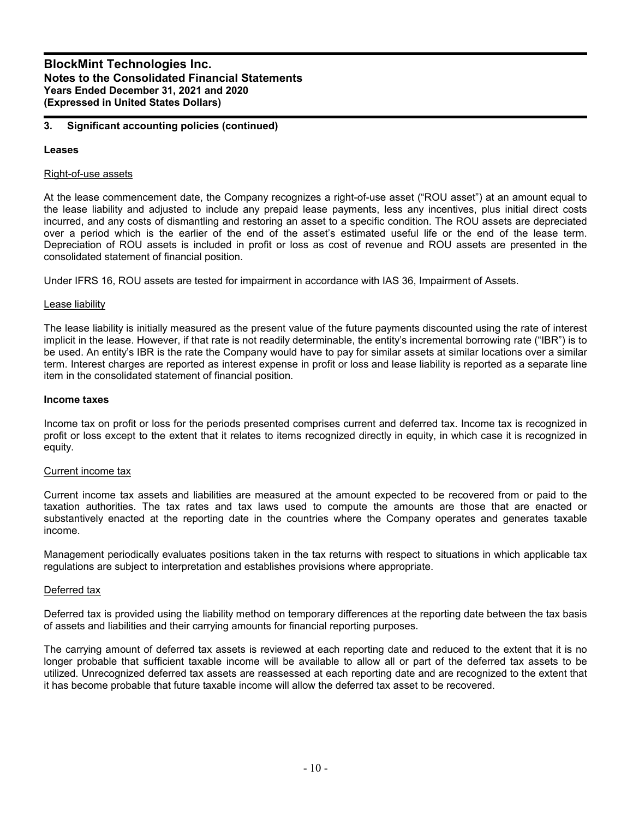## **3. Significant accounting policies (continued)**

#### **Leases**

#### Right-of-use assets

At the lease commencement date, the Company recognizes a right-of-use asset ("ROU asset") at an amount equal to the lease liability and adjusted to include any prepaid lease payments, less any incentives, plus initial direct costs incurred, and any costs of dismantling and restoring an asset to a specific condition. The ROU assets are depreciated over a period which is the earlier of the end of the asset's estimated useful life or the end of the lease term. Depreciation of ROU assets is included in profit or loss as cost of revenue and ROU assets are presented in the consolidated statement of financial position.

Under IFRS 16, ROU assets are tested for impairment in accordance with IAS 36, Impairment of Assets.

#### Lease liability

The lease liability is initially measured as the present value of the future payments discounted using the rate of interest implicit in the lease. However, if that rate is not readily determinable, the entity's incremental borrowing rate ("IBR") is to be used. An entity's IBR is the rate the Company would have to pay for similar assets at similar locations over a similar term. Interest charges are reported as interest expense in profit or loss and lease liability is reported as a separate line item in the consolidated statement of financial position.

#### **Income taxes**

Income tax on profit or loss for the periods presented comprises current and deferred tax. Income tax is recognized in profit or loss except to the extent that it relates to items recognized directly in equity, in which case it is recognized in equity.

#### Current income tax

Current income tax assets and liabilities are measured at the amount expected to be recovered from or paid to the taxation authorities. The tax rates and tax laws used to compute the amounts are those that are enacted or substantively enacted at the reporting date in the countries where the Company operates and generates taxable income.

Management periodically evaluates positions taken in the tax returns with respect to situations in which applicable tax regulations are subject to interpretation and establishes provisions where appropriate.

#### Deferred tax

Deferred tax is provided using the liability method on temporary differences at the reporting date between the tax basis of assets and liabilities and their carrying amounts for financial reporting purposes.

The carrying amount of deferred tax assets is reviewed at each reporting date and reduced to the extent that it is no longer probable that sufficient taxable income will be available to allow all or part of the deferred tax assets to be utilized. Unrecognized deferred tax assets are reassessed at each reporting date and are recognized to the extent that it has become probable that future taxable income will allow the deferred tax asset to be recovered.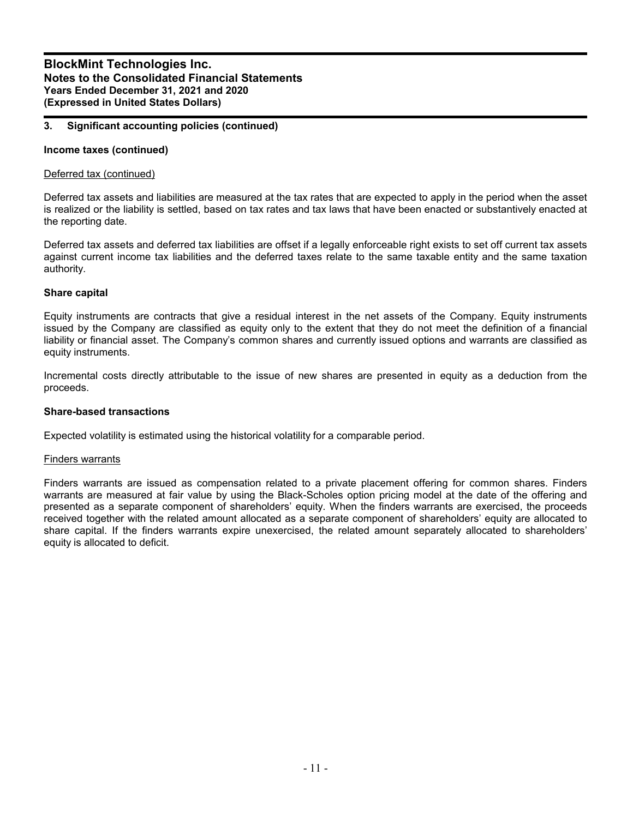## **3. Significant accounting policies (continued)**

#### **Income taxes (continued)**

#### Deferred tax (continued)

Deferred tax assets and liabilities are measured at the tax rates that are expected to apply in the period when the asset is realized or the liability is settled, based on tax rates and tax laws that have been enacted or substantively enacted at the reporting date.

Deferred tax assets and deferred tax liabilities are offset if a legally enforceable right exists to set off current tax assets against current income tax liabilities and the deferred taxes relate to the same taxable entity and the same taxation authority.

#### **Share capital**

Equity instruments are contracts that give a residual interest in the net assets of the Company. Equity instruments issued by the Company are classified as equity only to the extent that they do not meet the definition of a financial liability or financial asset. The Company's common shares and currently issued options and warrants are classified as equity instruments.

Incremental costs directly attributable to the issue of new shares are presented in equity as a deduction from the proceeds.

#### **Share-based transactions**

Expected volatility is estimated using the historical volatility for a comparable period.

#### Finders warrants

Finders warrants are issued as compensation related to a private placement offering for common shares. Finders warrants are measured at fair value by using the Black-Scholes option pricing model at the date of the offering and presented as a separate component of shareholders' equity. When the finders warrants are exercised, the proceeds received together with the related amount allocated as a separate component of shareholders' equity are allocated to share capital. If the finders warrants expire unexercised, the related amount separately allocated to shareholders' equity is allocated to deficit.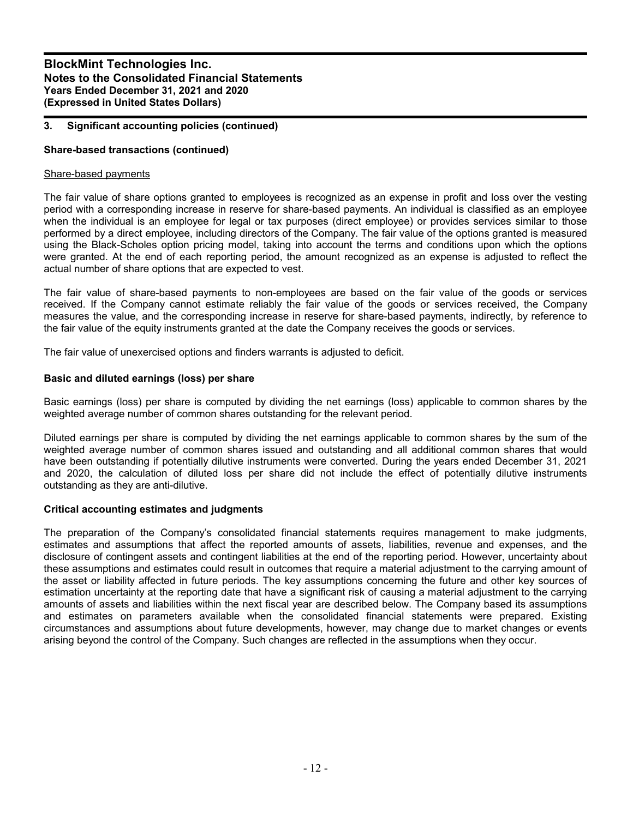## **3. Significant accounting policies (continued)**

## **Share-based transactions (continued)**

#### Share-based payments

The fair value of share options granted to employees is recognized as an expense in profit and loss over the vesting period with a corresponding increase in reserve for share-based payments. An individual is classified as an employee when the individual is an employee for legal or tax purposes (direct employee) or provides services similar to those performed by a direct employee, including directors of the Company. The fair value of the options granted is measured using the Black-Scholes option pricing model, taking into account the terms and conditions upon which the options were granted. At the end of each reporting period, the amount recognized as an expense is adjusted to reflect the actual number of share options that are expected to vest.

The fair value of share-based payments to non-employees are based on the fair value of the goods or services received. If the Company cannot estimate reliably the fair value of the goods or services received, the Company measures the value, and the corresponding increase in reserve for share-based payments, indirectly, by reference to the fair value of the equity instruments granted at the date the Company receives the goods or services.

The fair value of unexercised options and finders warrants is adjusted to deficit.

#### **Basic and diluted earnings (loss) per share**

Basic earnings (loss) per share is computed by dividing the net earnings (loss) applicable to common shares by the weighted average number of common shares outstanding for the relevant period.

Diluted earnings per share is computed by dividing the net earnings applicable to common shares by the sum of the weighted average number of common shares issued and outstanding and all additional common shares that would have been outstanding if potentially dilutive instruments were converted. During the years ended December 31, 2021 and 2020, the calculation of diluted loss per share did not include the effect of potentially dilutive instruments outstanding as they are anti-dilutive.

#### **Critical accounting estimates and judgments**

The preparation of the Company's consolidated financial statements requires management to make judgments, estimates and assumptions that affect the reported amounts of assets, liabilities, revenue and expenses, and the disclosure of contingent assets and contingent liabilities at the end of the reporting period. However, uncertainty about these assumptions and estimates could result in outcomes that require a material adjustment to the carrying amount of the asset or liability affected in future periods. The key assumptions concerning the future and other key sources of estimation uncertainty at the reporting date that have a significant risk of causing a material adjustment to the carrying amounts of assets and liabilities within the next fiscal year are described below. The Company based its assumptions and estimates on parameters available when the consolidated financial statements were prepared. Existing circumstances and assumptions about future developments, however, may change due to market changes or events arising beyond the control of the Company. Such changes are reflected in the assumptions when they occur.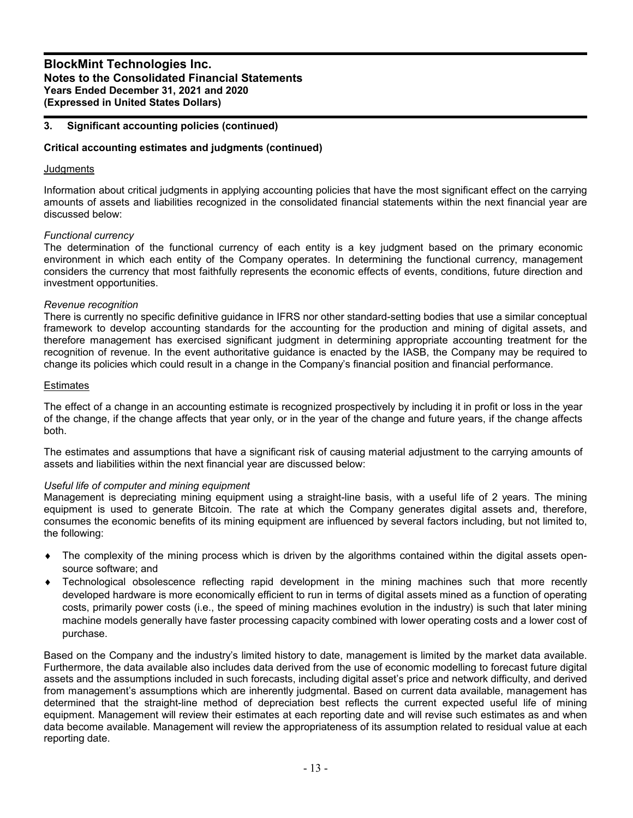# **3. Significant accounting policies (continued)**

#### **Critical accounting estimates and judgments (continued)**

#### **Judgments**

Information about critical judgments in applying accounting policies that have the most significant effect on the carrying amounts of assets and liabilities recognized in the consolidated financial statements within the next financial year are discussed below:

#### *Functional currency*

The determination of the functional currency of each entity is a key judgment based on the primary economic environment in which each entity of the Company operates. In determining the functional currency, management considers the currency that most faithfully represents the economic effects of events, conditions, future direction and investment opportunities.

#### *Revenue recognition*

There is currently no specific definitive guidance in IFRS nor other standard-setting bodies that use a similar conceptual framework to develop accounting standards for the accounting for the production and mining of digital assets, and therefore management has exercised significant judgment in determining appropriate accounting treatment for the recognition of revenue. In the event authoritative guidance is enacted by the IASB, the Company may be required to change its policies which could result in a change in the Company's financial position and financial performance.

#### **Estimates**

The effect of a change in an accounting estimate is recognized prospectively by including it in profit or loss in the year of the change, if the change affects that year only, or in the year of the change and future years, if the change affects both.

The estimates and assumptions that have a significant risk of causing material adjustment to the carrying amounts of assets and liabilities within the next financial year are discussed below:

#### *Useful life of computer and mining equipment*

Management is depreciating mining equipment using a straight-line basis, with a useful life of 2 years. The mining equipment is used to generate Bitcoin. The rate at which the Company generates digital assets and, therefore, consumes the economic benefits of its mining equipment are influenced by several factors including, but not limited to, the following:

- The complexity of the mining process which is driven by the algorithms contained within the digital assets opensource software; and
- Technological obsolescence reflecting rapid development in the mining machines such that more recently developed hardware is more economically efficient to run in terms of digital assets mined as a function of operating costs, primarily power costs (i.e., the speed of mining machines evolution in the industry) is such that later mining machine models generally have faster processing capacity combined with lower operating costs and a lower cost of purchase.

Based on the Company and the industry's limited history to date, management is limited by the market data available. Furthermore, the data available also includes data derived from the use of economic modelling to forecast future digital assets and the assumptions included in such forecasts, including digital asset's price and network difficulty, and derived from management's assumptions which are inherently judgmental. Based on current data available, management has determined that the straight-line method of depreciation best reflects the current expected useful life of mining equipment. Management will review their estimates at each reporting date and will revise such estimates as and when data become available. Management will review the appropriateness of its assumption related to residual value at each reporting date.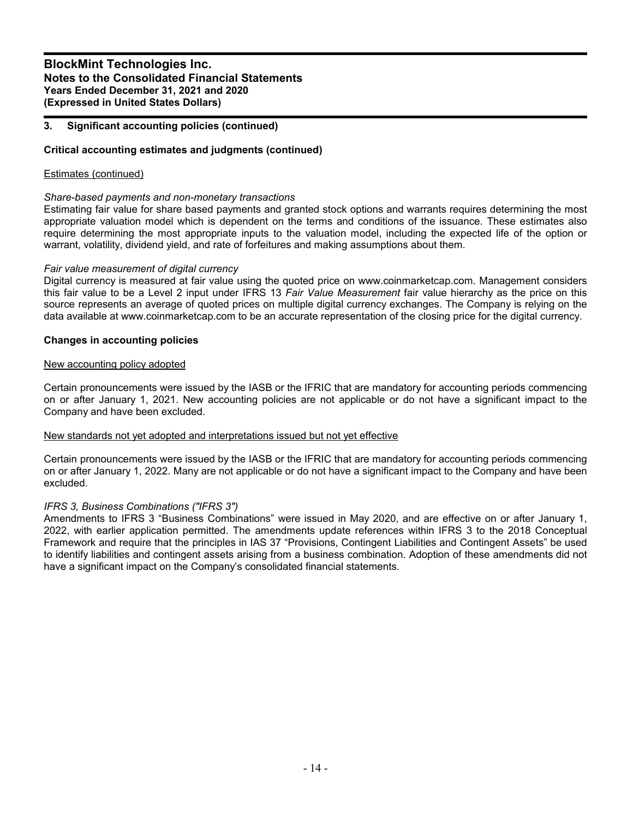## **3. Significant accounting policies (continued)**

#### **Critical accounting estimates and judgments (continued)**

#### Estimates (continued)

#### *Share-based payments and non-monetary transactions*

Estimating fair value for share based payments and granted stock options and warrants requires determining the most appropriate valuation model which is dependent on the terms and conditions of the issuance. These estimates also require determining the most appropriate inputs to the valuation model, including the expected life of the option or warrant, volatility, dividend yield, and rate of forfeitures and making assumptions about them.

#### *Fair value measurement of digital currency*

Digital currency is measured at fair value using the quoted price on www.coinmarketcap.com. Management considers this fair value to be a Level 2 input under IFRS 13 *Fair Value Measurement* fair value hierarchy as the price on this source represents an average of quoted prices on multiple digital currency exchanges. The Company is relying on the data available at www.coinmarketcap.com to be an accurate representation of the closing price for the digital currency.

#### **Changes in accounting policies**

#### New accounting policy adopted

Certain pronouncements were issued by the IASB or the IFRIC that are mandatory for accounting periods commencing on or after January 1, 2021. New accounting policies are not applicable or do not have a significant impact to the Company and have been excluded.

#### New standards not yet adopted and interpretations issued but not yet effective

Certain pronouncements were issued by the IASB or the IFRIC that are mandatory for accounting periods commencing on or after January 1, 2022. Many are not applicable or do not have a significant impact to the Company and have been excluded.

#### *IFRS 3, Business Combinations ("IFRS 3")*

Amendments to IFRS 3 "Business Combinations" were issued in May 2020, and are effective on or after January 1, 2022, with earlier application permitted. The amendments update references within IFRS 3 to the 2018 Conceptual Framework and require that the principles in IAS 37 "Provisions, Contingent Liabilities and Contingent Assets" be used to identify liabilities and contingent assets arising from a business combination. Adoption of these amendments did not have a significant impact on the Company's consolidated financial statements.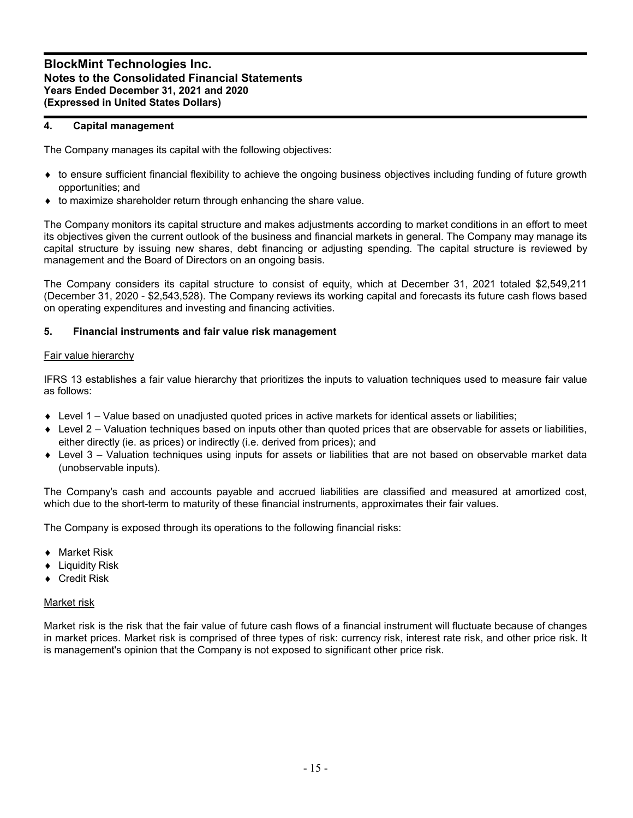## **4. Capital management**

The Company manages its capital with the following objectives:

- to ensure sufficient financial flexibility to achieve the ongoing business objectives including funding of future growth opportunities; and
- $\bullet$  to maximize shareholder return through enhancing the share value.

The Company monitors its capital structure and makes adjustments according to market conditions in an effort to meet its objectives given the current outlook of the business and financial markets in general. The Company may manage its capital structure by issuing new shares, debt financing or adjusting spending. The capital structure is reviewed by management and the Board of Directors on an ongoing basis.

The Company considers its capital structure to consist of equity, which at December 31, 2021 totaled \$2,549,211 (December 31, 2020 - \$2,543,528). The Company reviews its working capital and forecasts its future cash flows based on operating expenditures and investing and financing activities.

## **5. Financial instruments and fair value risk management**

#### Fair value hierarchy

IFRS 13 establishes a fair value hierarchy that prioritizes the inputs to valuation techniques used to measure fair value as follows:

- $\bullet$  Level 1 Value based on unadjusted quoted prices in active markets for identical assets or liabilities;
- $\bullet$  Level 2 Valuation techniques based on inputs other than quoted prices that are observable for assets or liabilities, either directly (ie. as prices) or indirectly (i.e. derived from prices); and
- Level 3 Valuation techniques using inputs for assets or liabilities that are not based on observable market data (unobservable inputs).

The Company's cash and accounts payable and accrued liabilities are classified and measured at amortized cost, which due to the short-term to maturity of these financial instruments, approximates their fair values.

The Company is exposed through its operations to the following financial risks:

- ◆ Market Risk
- Liquidity Risk
- ◆ Credit Risk

#### Market risk

Market risk is the risk that the fair value of future cash flows of a financial instrument will fluctuate because of changes in market prices. Market risk is comprised of three types of risk: currency risk, interest rate risk, and other price risk. It is management's opinion that the Company is not exposed to significant other price risk.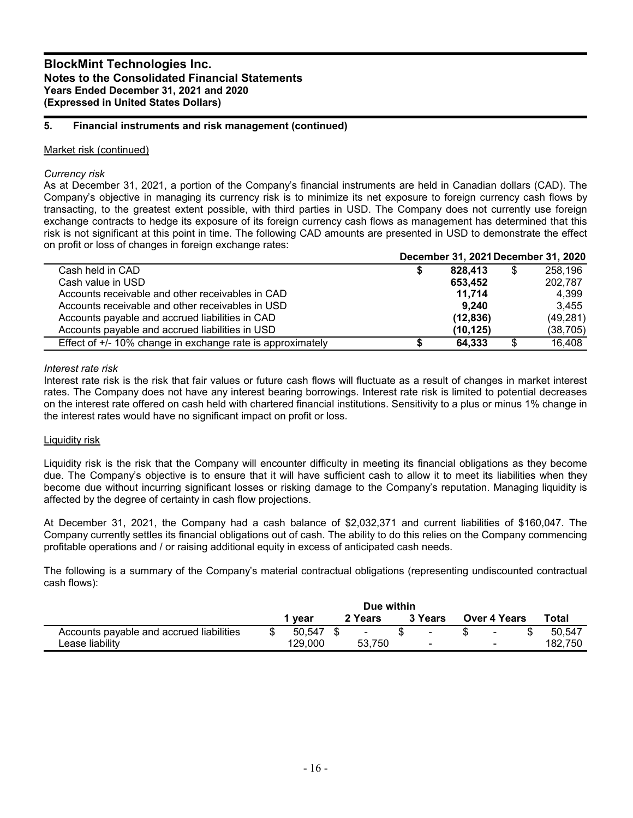## **5. Financial instruments and risk management (continued)**

#### Market risk (continued)

#### *Currency risk*

L,

As at December 31, 2021, a portion of the Company's financial instruments are held in Canadian dollars (CAD). The Company's objective in managing its currency risk is to minimize its net exposure to foreign currency cash flows by transacting, to the greatest extent possible, with third parties in USD. The Company does not currently use foreign exchange contracts to hedge its exposure of its foreign currency cash flows as management has determined that this risk is not significant at this point in time. The following CAD amounts are presented in USD to demonstrate the effect on profit or loss of changes in foreign exchange rates:

|                                                            | December 31, 2021 December 31, 2020 |      |           |
|------------------------------------------------------------|-------------------------------------|------|-----------|
| Cash held in CAD                                           | 828,413                             | - \$ | 258,196   |
| Cash value in USD                                          | 653,452                             |      | 202.787   |
| Accounts receivable and other receivables in CAD           | 11,714                              |      | 4.399     |
| Accounts receivable and other receivables in USD           | 9.240                               |      | 3.455     |
| Accounts payable and accrued liabilities in CAD            | (12, 836)                           |      | (49, 281) |
| Accounts payable and accrued liabilities in USD            | (10, 125)                           |      | (38, 705) |
| Effect of +/- 10% change in exchange rate is approximately | 64.333                              |      | 16,408    |

#### *Interest rate risk*

Interest rate risk is the risk that fair values or future cash flows will fluctuate as a result of changes in market interest rates. The Company does not have any interest bearing borrowings. Interest rate risk is limited to potential decreases on the interest rate offered on cash held with chartered financial institutions. Sensitivity to a plus or minus 1% change in the interest rates would have no significant impact on profit or loss.

#### Liquidity risk

Liquidity risk is the risk that the Company will encounter difficulty in meeting its financial obligations as they become due. The Company's objective is to ensure that it will have sufficient cash to allow it to meet its liabilities when they become due without incurring significant losses or risking damage to the Company's reputation. Managing liquidity is affected by the degree of certainty in cash flow projections.

At December 31, 2021, the Company had a cash balance of \$2,032,371 and current liabilities of \$160,047. The Company currently settles its financial obligations out of cash. The ability to do this relies on the Company commencing profitable operations and / or raising additional equity in excess of anticipated cash needs.

The following is a summary of the Company's material contractual obligations (representing undiscounted contractual cash flows):

|                                          | Due within |           |  |         |  |                          |  |                     |  |         |
|------------------------------------------|------------|-----------|--|---------|--|--------------------------|--|---------------------|--|---------|
|                                          |            | 1 vear    |  | 2 Years |  | 3 Years                  |  | <b>Over 4 Years</b> |  | Total   |
| Accounts payable and accrued liabilities |            | 50.547 \$ |  | $\sim$  |  | $\sim$                   |  | $\sim$              |  | 50.547  |
| ∟ease liability                          |            | 129.000   |  | 53.750  |  | $\overline{\phantom{0}}$ |  | -                   |  | 182.750 |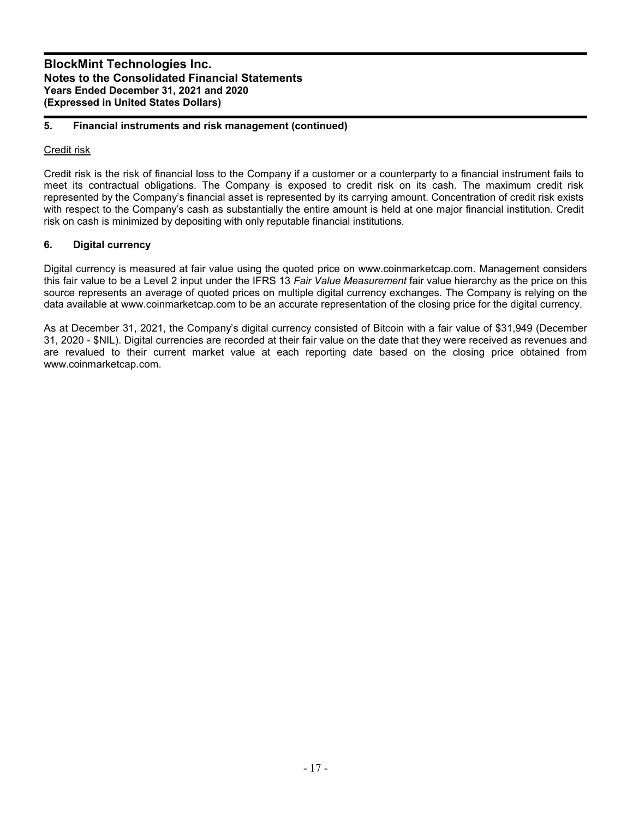# **5. Financial instruments and risk management (continued)**

## Credit risk

Credit risk is the risk of financial loss to the Company if a customer or a counterparty to a financial instrument fails to meet its contractual obligations. The Company is exposed to credit risk on its cash. The maximum credit risk represented by the Company's financial asset is represented by its carrying amount. Concentration of credit risk exists with respect to the Company's cash as substantially the entire amount is held at one major financial institution. Credit risk on cash is minimized by depositing with only reputable financial institutions.

## **6. Digital currency**

Digital currency is measured at fair value using the quoted price on www.coinmarketcap.com. Management considers this fair value to be a Level 2 input under the IFRS 13 *Fair Value Measurement* fair value hierarchy as the price on this source represents an average of quoted prices on multiple digital currency exchanges. The Company is relying on the data available at www.coinmarketcap.com to be an accurate representation of the closing price for the digital currency.

As at December 31, 2021, the Company's digital currency consisted of Bitcoin with a fair value of \$31,949 (December 31, 2020 - \$NIL). Digital currencies are recorded at their fair value on the date that they were received as revenues and are revalued to their current market value at each reporting date based on the closing price obtained from www.coinmarketcap.com.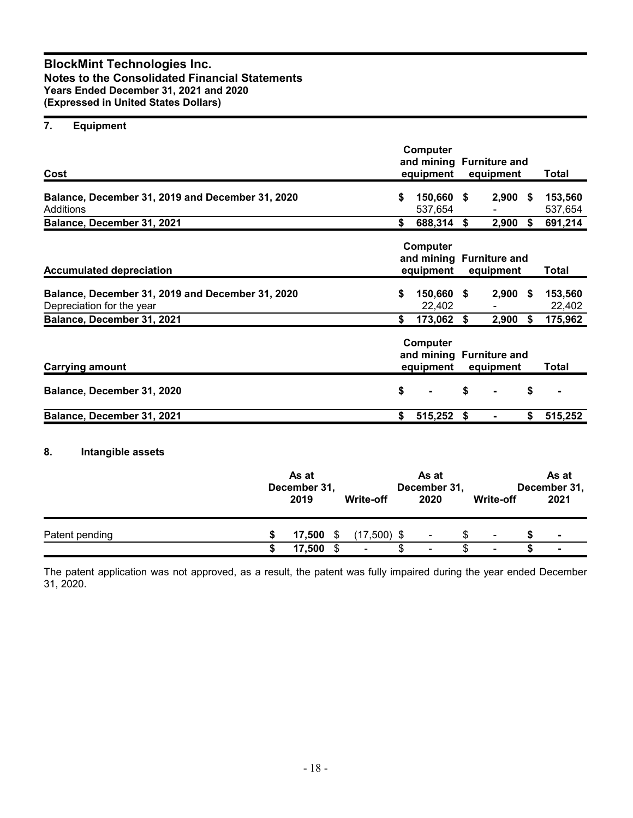# **7. Equipment**

| Cost                                                                          |          |                               |          |                  |          | Computer<br>equipment         |          | and mining Furniture and<br>equipment |          | <b>Total</b>                  |
|-------------------------------------------------------------------------------|----------|-------------------------------|----------|------------------|----------|-------------------------------|----------|---------------------------------------|----------|-------------------------------|
| Balance, December 31, 2019 and December 31, 2020<br>Additions                 |          |                               |          |                  | \$       | 150,660 \$<br>537,654         |          | $2,900$ \$                            |          | 153,560<br>537,654            |
| Balance, December 31, 2021                                                    |          |                               |          |                  | \$       | 688,314 \$                    |          | $2,900$ \$                            |          | 691,214                       |
| <b>Accumulated depreciation</b>                                               |          |                               |          |                  |          | Computer<br>equipment         |          | and mining Furniture and<br>equipment |          | <b>Total</b>                  |
| Balance, December 31, 2019 and December 31, 2020<br>Depreciation for the year |          |                               |          |                  | \$       | 150,660 \$<br>22,402          |          | $2,900$ \$                            |          | 153,560<br>22,402             |
| Balance, December 31, 2021                                                    |          |                               |          |                  | \$       | 173,062 \$                    |          | 2,900                                 | \$       | 175,962                       |
| <b>Carrying amount</b><br>Balance, December 31, 2020                          |          |                               |          |                  | \$       | Computer<br>equipment         | \$       | and mining Furniture and<br>equipment | \$       | <b>Total</b>                  |
| Balance, December 31, 2021                                                    |          |                               |          |                  | \$       | 515,252 \$                    |          |                                       | \$       | 515,252                       |
| Intangible assets<br>8.                                                       |          |                               |          |                  |          |                               |          |                                       |          |                               |
|                                                                               |          | As at<br>December 31,<br>2019 |          | <b>Write-off</b> |          | As at<br>December 31,<br>2020 |          | <b>Write-off</b>                      |          | As at<br>December 31,<br>2021 |
| Patent pending                                                                | \$<br>\$ | 17,500<br>17,500              | \$<br>\$ | (17,500)         | \$<br>\$ |                               | \$<br>\$ |                                       | \$<br>\$ |                               |
|                                                                               |          |                               |          |                  |          |                               |          |                                       |          |                               |

The patent application was not approved, as a result, the patent was fully impaired during the year ended December 31, 2020.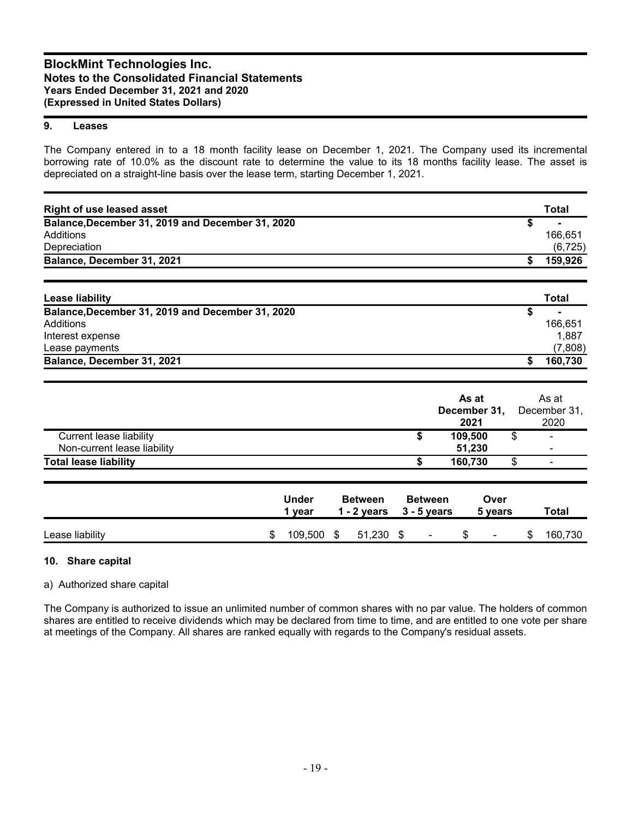## **9. Leases**

The Company entered in to a 18 month facility lease on December 1, 2021. The Company used its incremental borrowing rate of 10.0% as the discount rate to determine the value to its 18 months facility lease. The asset is depreciated on a straight-line basis over the lease term, starting December 1, 2021.

| <b>Right of use leased asset</b>                 |         |                |                |              | <b>Total</b>  |
|--------------------------------------------------|---------|----------------|----------------|--------------|---------------|
| Balance, December 31, 2019 and December 31, 2020 |         |                |                |              | \$            |
| Additions                                        |         |                |                |              | 166,651       |
| Depreciation                                     |         |                |                |              | (6, 725)      |
| Balance, December 31, 2021                       |         |                |                |              | 159,926<br>\$ |
| <b>Lease liability</b>                           |         |                |                |              | <b>Total</b>  |
| Balance, December 31, 2019 and December 31, 2020 |         |                |                |              | \$            |
| <b>Additions</b>                                 |         |                |                |              | 166,651       |
| Interest expense                                 |         |                |                |              | 1,887         |
| Lease payments                                   |         |                |                |              | (7,808)       |
| Balance, December 31, 2021                       |         |                |                |              | \$<br>160,730 |
|                                                  |         |                |                |              |               |
|                                                  |         |                |                | As at        | As at         |
|                                                  |         |                |                | December 31, | December 31,  |
|                                                  |         |                |                | 2021         | 2020          |
| <b>Current lease liability</b>                   |         |                | \$             | 109,500      | \$            |
| Non-current lease liability                      |         |                |                | 51,230       |               |
| <b>Total lease liability</b>                     |         |                | \$             | 160,730      | \$            |
|                                                  | Under   | <b>Between</b> | <b>Between</b> | Over         |               |
|                                                  | 1 year  | $1 - 2$ years  | $3 - 5$ years  | 5 years      | Total         |
| Lease liability<br>S                             | 109,500 | \$<br>51,230   | \$             | \$           | 160,730<br>\$ |

#### **10. Share capital**

#### a) Authorized share capital

The Company is authorized to issue an unlimited number of common shares with no par value. The holders of common shares are entitled to receive dividends which may be declared from time to time, and are entitled to one vote per share at meetings of the Company. All shares are ranked equally with regards to the Company's residual assets.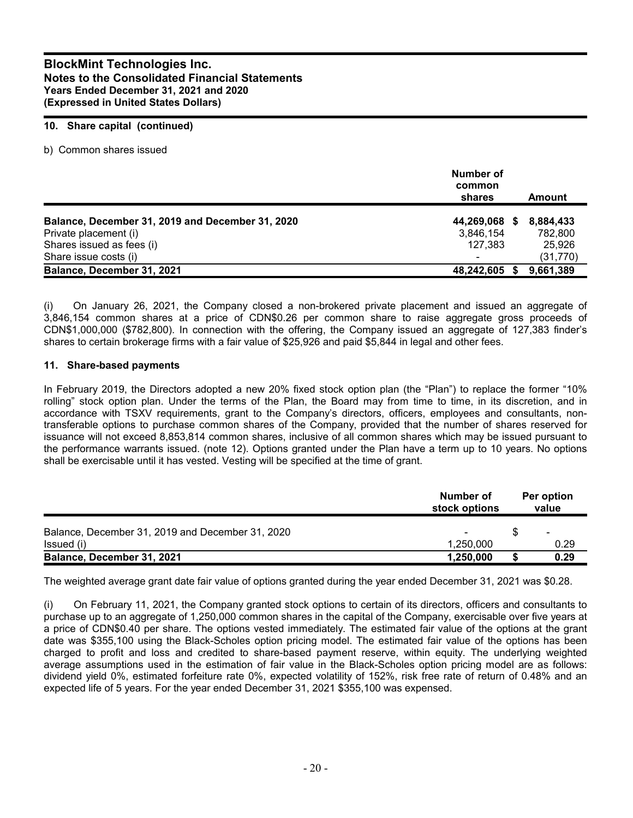#### **10. Share capital (continued)**

#### b) Common shares issued

|                                                  | Number of<br>common<br>shares | <b>Amount</b> |
|--------------------------------------------------|-------------------------------|---------------|
| Balance, December 31, 2019 and December 31, 2020 | 44,269,068 \$                 | 8,884,433     |
| Private placement (i)                            | 3,846,154                     | 782,800       |
| Shares issued as fees (i)                        | 127.383                       | 25,926        |
| Share issue costs (i)                            |                               | (31, 770)     |
| Balance, December 31, 2021                       | 48,242,605 \$                 | 9,661,389     |

(i) On January 26, 2021, the Company closed a non-brokered private placement and issued an aggregate of 3,846,154 common shares at a price of CDN\$0.26 per common share to raise aggregate gross proceeds of CDN\$1,000,000 (\$782,800). In connection with the offering, the Company issued an aggregate of 127,383 finder's shares to certain brokerage firms with a fair value of \$25,926 and paid \$5,844 in legal and other fees.

#### **11. Share-based payments**

In February 2019, the Directors adopted a new 20% fixed stock option plan (the "Plan") to replace the former "10% rolling" stock option plan. Under the terms of the Plan, the Board may from time to time, in its discretion, and in accordance with TSXV requirements, grant to the Company's directors, officers, employees and consultants, nontransferable options to purchase common shares of the Company, provided that the number of shares reserved for issuance will not exceed 8,853,814 common shares, inclusive of all common shares which may be issued pursuant to the performance warrants issued. (note 12). Options granted under the Plan have a term up to 10 years. No options shall be exercisable until it has vested. Vesting will be specified at the time of grant.

|                                                  | Number of<br>stock options | Per option<br>value |
|--------------------------------------------------|----------------------------|---------------------|
| Balance, December 31, 2019 and December 31, 2020 |                            | -                   |
| Issued (i)                                       | 1.250.000                  | 0.29                |
| Balance, December 31, 2021                       | 1.250.000                  | 0.29                |

The weighted average grant date fair value of options granted during the year ended December 31, 2021 was \$0.28.

(i) On February 11, 2021, the Company granted stock options to certain of its directors, officers and consultants to purchase up to an aggregate of 1,250,000 common shares in the capital of the Company, exercisable over five years at a price of CDN\$0.40 per share. The options vested immediately. The estimated fair value of the options at the grant date was \$355,100 using the Black-Scholes option pricing model. The estimated fair value of the options has been charged to profit and loss and credited to share-based payment reserve, within equity. The underlying weighted average assumptions used in the estimation of fair value in the Black-Scholes option pricing model are as follows: dividend yield 0%, estimated forfeiture rate 0%, expected volatility of 152%, risk free rate of return of 0.48% and an expected life of 5 years. For the year ended December 31, 2021 \$355,100 was expensed.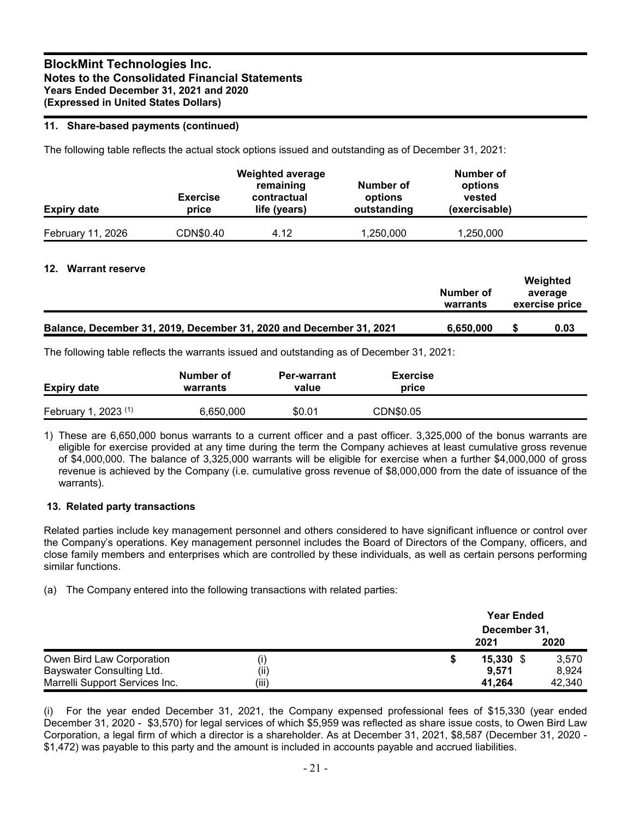# **11. Share-based payments (continued)**

The following table reflects the actual stock options issued and outstanding as of December 31, 2021:

| <b>Expiry date</b> | <b>Exercise</b><br>price | <b>Weighted average</b><br>remaining<br>contractual<br>life (years) | Number of<br>options<br>outstanding | Number of<br>options<br>vested<br>(exercisable) |  |
|--------------------|--------------------------|---------------------------------------------------------------------|-------------------------------------|-------------------------------------------------|--|
| February 11, 2026  | CDN\$0.40                | 4.12                                                                | 1,250,000                           | 1,250,000                                       |  |

#### **12. Warrant reserve**

|                                                                     | Number of<br>warrants | Weighted<br>average<br>exercise price |
|---------------------------------------------------------------------|-----------------------|---------------------------------------|
| Balance, December 31, 2019, December 31, 2020 and December 31, 2021 | 6,650,000             | 0.03                                  |

The following table reflects the warrants issued and outstanding as of December 31, 2021:

| <b>Expiry date</b>                     | Number of<br>warrants | <b>Per-warrant</b><br>value | <b>Exercise</b><br>price |  |
|----------------------------------------|-----------------------|-----------------------------|--------------------------|--|
| $, 2023$ <sup>(1)</sup><br>February 1, | 6,650,000             | \$0.01                      | CDN\$0.05                |  |

1) These are 6,650,000 bonus warrants to a current officer and a past officer. 3,325,000 of the bonus warrants are eligible for exercise provided at any time during the term the Company achieves at least cumulative gross revenue of \$4,000,000. The balance of 3,325,000 warrants will be eligible for exercise when a further \$4,000,000 of gross revenue is achieved by the Company (i.e. cumulative gross revenue of \$8,000,000 from the date of issuance of the warrants).

#### **13. Related party transactions**

Related parties include key management personnel and others considered to have significant influence or control over the Company's operations. Key management personnel includes the Board of Directors of the Company, officers, and close family members and enterprises which are controlled by these individuals, as well as certain persons performing similar functions.

(a) The Company entered into the following transactions with related parties:

|                                |       |   | <b>Year Ended</b> |        |  |
|--------------------------------|-------|---|-------------------|--------|--|
|                                |       |   | December 31,      |        |  |
|                                |       |   | 2021              | 2020   |  |
| Owen Bird Law Corporation      | (i)   | S | $15,330$ \$       | 3.570  |  |
| Bayswater Consulting Ltd.      | (ii)  |   | 9.571             | 8.924  |  |
| Marrelli Support Services Inc. | (iii) |   | 41.264            | 42.340 |  |

(i) For the year ended December 31, 2021, the Company expensed professional fees of \$15,330 (year ended December 31, 2020 - \$3,570) for legal services of which \$5,959 was reflected as share issue costs, to Owen Bird Law Corporation, a legal firm of which a director is a shareholder. As at December 31, 2021, \$8,587 (December 31, 2020 - \$1,472) was payable to this party and the amount is included in accounts payable and accrued liabilities.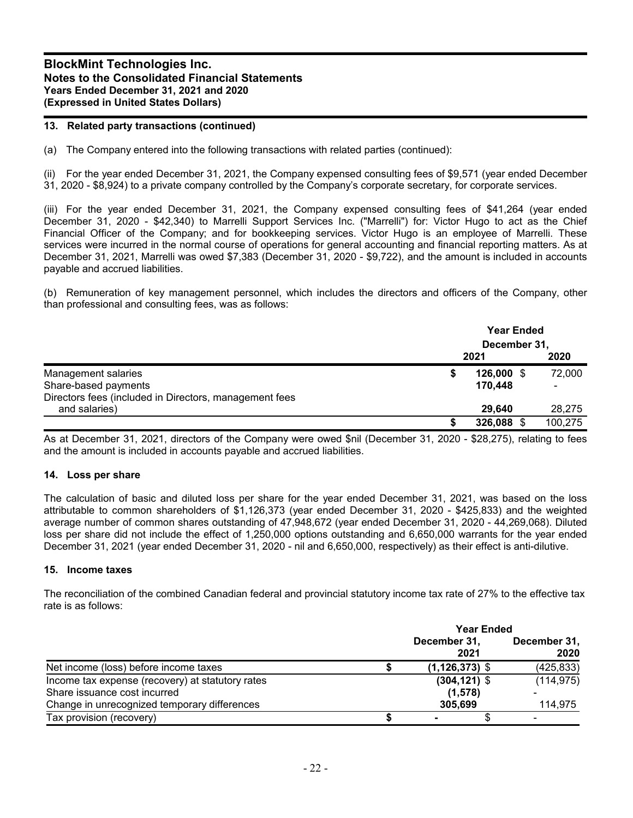## **13. Related party transactions (continued)**

(a) The Company entered into the following transactions with related parties (continued):

(ii) For the year ended December 31, 2021, the Company expensed consulting fees of \$9,571 (year ended December 31, 2020 - \$8,924) to a private company controlled by the Company's corporate secretary, for corporate services.

(iii) For the year ended December 31, 2021, the Company expensed consulting fees of \$41,264 (year ended December 31, 2020 - \$42,340) to Marrelli Support Services Inc. ("Marrelli") for: Victor Hugo to act as the Chief Financial Officer of the Company; and for bookkeeping services. Victor Hugo is an employee of Marrelli. These services were incurred in the normal course of operations for general accounting and financial reporting matters. As at December 31, 2021, Marrelli was owed \$7,383 (December 31, 2020 - \$9,722), and the amount is included in accounts payable and accrued liabilities.

(b) Remuneration of key management personnel, which includes the directors and officers of the Company, other than professional and consulting fees, was as follows:

|                                                        | <b>Year Ended</b><br>December 31, |              |         |
|--------------------------------------------------------|-----------------------------------|--------------|---------|
|                                                        |                                   |              |         |
|                                                        |                                   | 2021         | 2020    |
| Management salaries                                    | \$                                | $126,000$ \$ | 72,000  |
| Share-based payments                                   |                                   | 170.448      | ۰       |
| Directors fees (included in Directors, management fees |                                   |              |         |
| and salaries)                                          |                                   | 29.640       | 28,275  |
|                                                        |                                   | 326,088 \$   | 100,275 |

As at December 31, 2021, directors of the Company were owed \$nil (December 31, 2020 - \$28,275), relating to fees and the amount is included in accounts payable and accrued liabilities.

#### **14. Loss per share**

The calculation of basic and diluted loss per share for the year ended December 31, 2021, was based on the loss attributable to common shareholders of \$1,126,373 (year ended December 31, 2020 - \$425,833) and the weighted average number of common shares outstanding of 47,948,672 (year ended December 31, 2020 - 44,269,068). Diluted loss per share did not include the effect of 1,250,000 options outstanding and 6,650,000 warrants for the year ended December 31, 2021 (year ended December 31, 2020 - nil and 6,650,000, respectively) as their effect is anti-dilutive.

#### **15. Income taxes**

The reconciliation of the combined Canadian federal and provincial statutory income tax rate of 27% to the effective tax rate is as follows:

|                                                  | <b>Year Ended</b>    |  |                      |
|--------------------------------------------------|----------------------|--|----------------------|
|                                                  | December 31,<br>2021 |  | December 31,<br>2020 |
| Net income (loss) before income taxes            | $(1, 126, 373)$ \$   |  | (425, 833)           |
| Income tax expense (recovery) at statutory rates | $(304, 121)$ \$      |  | (114, 975)           |
| Share issuance cost incurred                     | (1,578)              |  |                      |
| Change in unrecognized temporary differences     | 305,699              |  | 114,975              |
| Tax provision (recovery)                         |                      |  |                      |